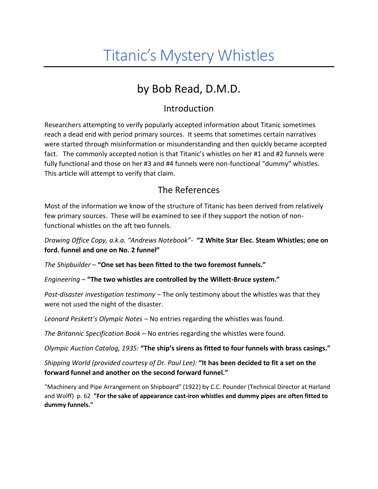# Titanic's Mystery Whistles

## by Bob Read, D.M.D.

#### Introduction

Researchers attempting to verify popularly accepted information about Titanic sometimes reach a dead end with period primary sources. It seems that sometimes certain narratives were started through misinformation or misunderstanding and then quickly became accepted fact. The commonly accepted notion is that Titanic's whistles on her #1 and #2 funnels were fully functional and those on her #3 and #4 funnels were non-functional "dummy" whistles. This article will attempt to verify that claim.

#### The References

Most of the information we know of the structure of Titanic has been derived from relatively few primary sources. These will be examined to see if they support the notion of nonfunctional whistles on the aft two funnels.

*Drawing Office Copy, a.k.a. "Andrews Notebook"-* **"2 White Star Elec. Steam Whistles; one on ford. funnel and one on No. 2 funnel"**

*The Shipbuilder* – **"One set has been fitted to the two foremost funnels."**

*Engineering* – **"The two whistles are controlled by the Willett-Bruce system."**

*Post-disaster investigation testimony –* The only testimony about the whistles was that they were not used the night of the disaster.

*Leonard Peskett's Olympic Notes –* No entries regarding the whistles was found.

*The Britannic Specification Book –* No entries regarding the whistles were found.

*Olympic Auction Catalog, 1935:* **"The ship's sirens as fitted to four funnels with brass casings."**

*Shipping World (provided courtesy of Dr. Paul Lee):* **"It has been decided to fit a set on the forward funnel and another on the second forward funnel."**

"Machinery and Pipe Arrangement on Shipboard" (1922) by C.C. Pounder (Technical Director at Harland and Wolff) p. 62 **"For the sake of appearance cast-iron whistles and dummy pipes are often fitted to dummy funnels."**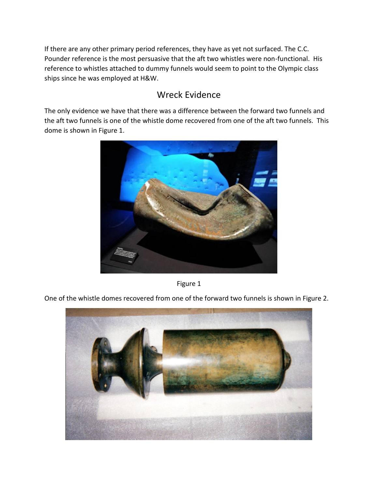If there are any other primary period references, they have as yet not surfaced. The C.C. Pounder reference is the most persuasive that the aft two whistles were non-functional. His reference to whistles attached to dummy funnels would seem to point to the Olympic class ships since he was employed at H&W.

### Wreck Evidence

The only evidence we have that there was a difference between the forward two funnels and the aft two funnels is one of the whistle dome recovered from one of the aft two funnels. This dome is shown in Figure 1.



Figure 1

One of the whistle domes recovered from one of the forward two funnels is shown in Figure 2.